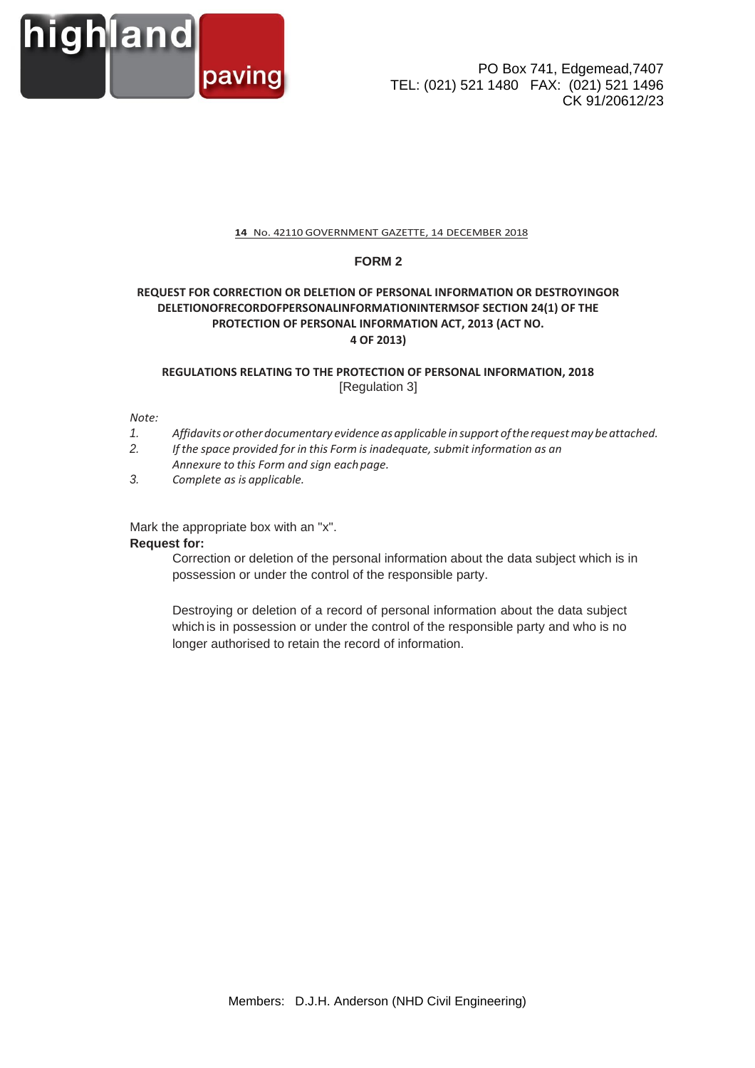

## **14** No. 42110 GOVERNMENT GAZETTE, 14 DECEMBER 2018

## **FORM 2**

# **REQUEST FOR CORRECTION OR DELETION OF PERSONAL INFORMATION OR DESTROYINGOR DELETIONOFRECORDOFPERSONALINFORMATIONINTERMSOF SECTION 24(1) OF THE PROTECTION OF PERSONAL INFORMATION ACT, 2013 (ACT NO. 4 OF 2013)**

# **REGULATIONS RELATING TO THE PROTECTION OF PERSONAL INFORMATION, 2018** [Regulation 3]

#### *Note:*

- *1. Affidavits orotherdocumentary evidence asapplicable insupport ofthe requestmay beattached.*
- *2. If the space provided for in this Form is inadequate, submit information as an Annexure to this Form and sign eachpage.*
- *3. Complete as is applicable.*

Mark the appropriate box with an "x".

#### **Request for:**

Correction or deletion of the personal information about the data subject which is in possession or under the control of the responsible party.

Destroying or deletion of a record of personal information about the data subject which is in possession or under the control of the responsible party and who is no longer authorised to retain the record of information.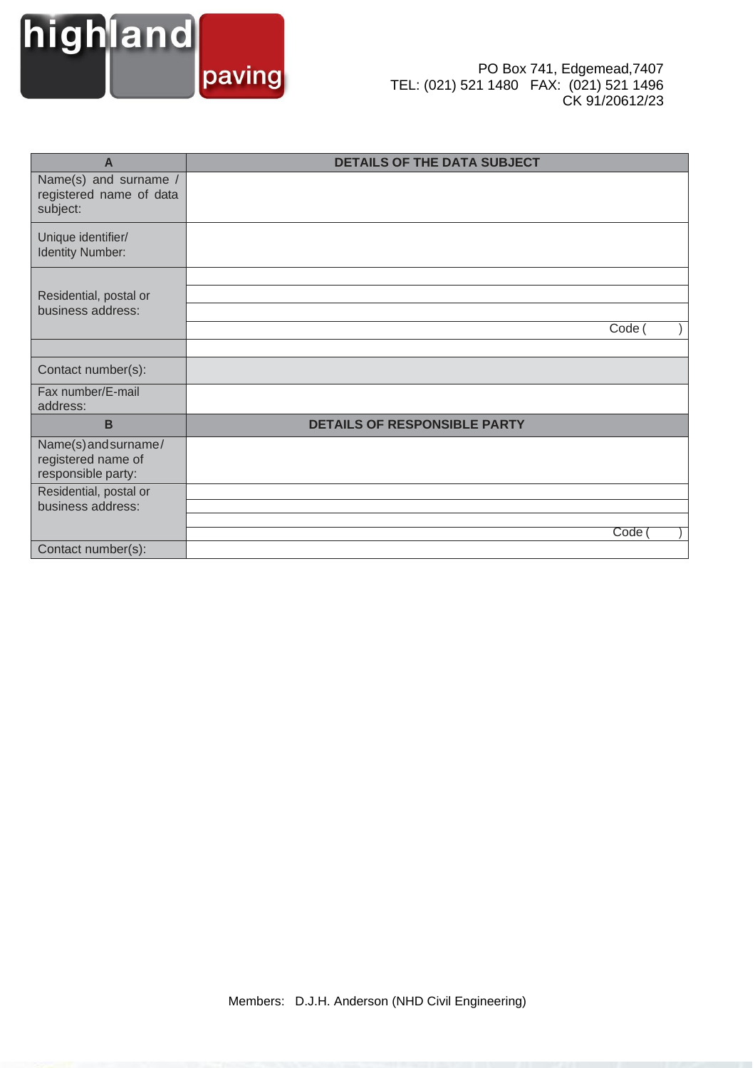

| A                                                                | <b>DETAILS OF THE DATA SUBJECT</b>  |
|------------------------------------------------------------------|-------------------------------------|
| Name(s) and surname /<br>registered name of data<br>subject:     |                                     |
| Unique identifier/<br><b>Identity Number:</b>                    |                                     |
| Residential, postal or<br>business address:                      | Code (                              |
|                                                                  |                                     |
| Contact number(s):                                               |                                     |
| Fax number/E-mail<br>address:                                    |                                     |
| B                                                                | <b>DETAILS OF RESPONSIBLE PARTY</b> |
| Name(s) and surname/<br>registered name of<br>responsible party: |                                     |
| Residential, postal or                                           |                                     |
| business address:                                                |                                     |
|                                                                  | Code                                |
| Contact number(s):                                               |                                     |